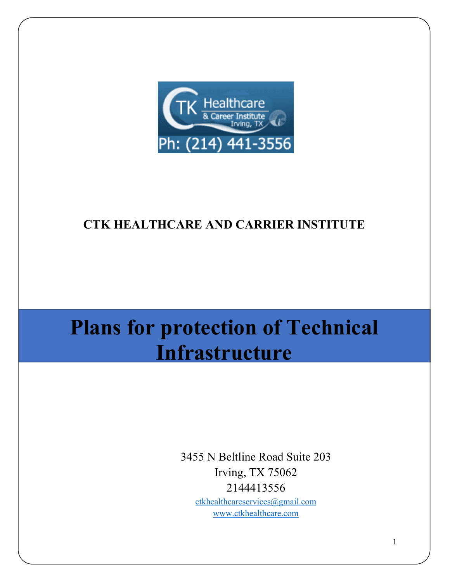

# **CTK HEALTHCARE AND CARRIER INSTITUTE**

# **Plans for protection of Technical Infrastructure**

3455 N Beltline Road Suite 203 Irving, TX 75062 2144413556 [ctkhealthcareservices@gmail.com](mailto:ctkhealthcareservices@gmail.com)

[www.ctkhealthcare.com](http://www.ctkhealthcare.com/)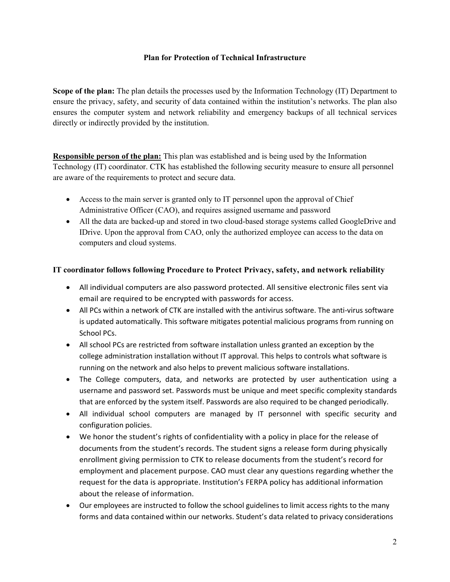# **Plan for Protection of Technical Infrastructure**

**Scope of the plan:** The plan details the processes used by the Information Technology (IT) Department to ensure the privacy, safety, and security of data contained within the institution's networks. The plan also ensures the computer system and network reliability and emergency backups of all technical services directly or indirectly provided by the institution.

**Responsible person of the plan:** This plan was established and is being used by the Information Technology (IT) coordinator. CTK has established the following security measure to ensure all personnel are aware of the requirements to protect and secure data.

- Access to the main server is granted only to IT personnel upon the approval of Chief Administrative Officer (CAO), and requires assigned username and password
- All the data are backed-up and stored in two cloud-based storage systems called GoogleDrive and IDrive. Upon the approval from CAO, only the authorized employee can access to the data on computers and cloud systems.

# **IT coordinator follows following Procedure to Protect Privacy, safety, and network reliability**

- All individual computers are also password protected. All sensitive electronic files sent via email are required to be encrypted with passwords for access.
- All PCs within a network of CTK are installed with the antivirus software. The anti-virus software is updated automatically. This software mitigates potential malicious programs from running on School PCs.
- All school PCs are restricted from software installation unless granted an exception by the college administration installation without IT approval. This helps to controls what software is running on the network and also helps to prevent malicious software installations.
- The College computers, data, and networks are protected by user authentication using a username and password set. Passwords must be unique and meet specific complexity standards that are enforced by the system itself. Passwords are also required to be changed periodically.
- All individual school computers are managed by IT personnel with specific security and configuration policies.
- We honor the student's rights of confidentiality with a policy in place for the release of documents from the student's records. The student signs a release form during physically enrollment giving permission to CTK to release documents from the student's record for employment and placement purpose. CAO must clear any questions regarding whether the request for the data is appropriate. Institution's FERPA policy has additional information about the release of information.
- Our employees are instructed to follow the school guidelines to limit access rights to the many forms and data contained within our networks. Student's data related to privacy considerations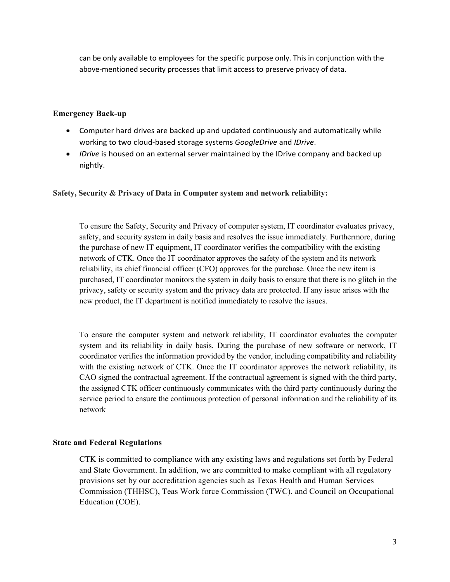can be only available to employees for the specific purpose only. This in conjunction with the above-mentioned security processes that limit access to preserve privacy of data.

# **Emergency Back-up**

- Computer hard drives are backed up and updated continuously and automatically while working to two cloud-based storage systems *GoogleDrive* and *IDrive*.
- *IDrive* is housed on an external server maintained by the IDrive company and backed up nightly.

#### **Safety, Security & Privacy of Data in Computer system and network reliability:**

To ensure the Safety, Security and Privacy of computer system, IT coordinator evaluates privacy, safety, and security system in daily basis and resolves the issue immediately. Furthermore, during the purchase of new IT equipment, IT coordinator verifies the compatibility with the existing network of CTK. Once the IT coordinator approves the safety of the system and its network reliability, its chief financial officer (CFO) approves for the purchase. Once the new item is purchased, IT coordinator monitors the system in daily basis to ensure that there is no glitch in the privacy, safety or security system and the privacy data are protected. If any issue arises with the new product, the IT department is notified immediately to resolve the issues.

To ensure the computer system and network reliability, IT coordinator evaluates the computer system and its reliability in daily basis. During the purchase of new software or network, IT coordinator verifies the information provided by the vendor, including compatibility and reliability with the existing network of CTK. Once the IT coordinator approves the network reliability, its CAO signed the contractual agreement. If the contractual agreement is signed with the third party, the assigned CTK officer continuously communicates with the third party continuously during the service period to ensure the continuous protection of personal information and the reliability of its network

#### **State and Federal Regulations**

CTK is committed to compliance with any existing laws and regulations set forth by Federal and State Government. In addition, we are committed to make compliant with all regulatory provisions set by our accreditation agencies such as Texas Health and Human Services Commission (THHSC), Teas Work force Commission (TWC), and Council on Occupational Education (COE).